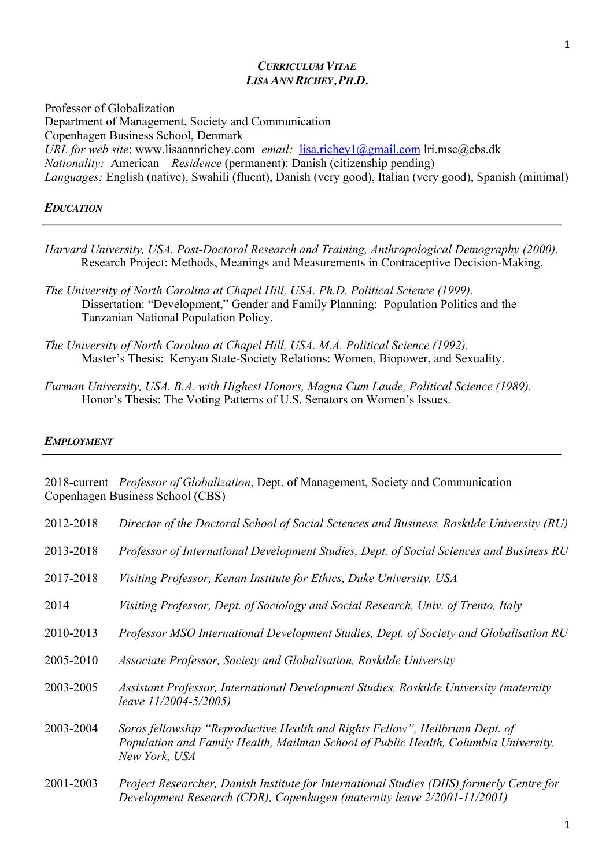Professor of Globalization Department of Management, Society and Communication Copenhagen Business School, Denmark *URL for web site*: www.lisaannrichey.com *email:* lisa.richey1@gmail.com lri.msc@cbs.dk *Nationality:* American *Residence* (permanent): Danish (citizenship pending) *Languages:* English (native), Swahili (fluent), Danish (very good), Italian (very good), Spanish (minimal)

### *EDUCATION*

- *Harvard University, USA. Post-Doctoral Research and Training, Anthropological Demography (2000).*  Research Project: Methods, Meanings and Measurements in Contraceptive Decision-Making.
- *The University of North Carolina at Chapel Hill, USA. Ph.D. Political Science (1999).* Dissertation: "Development," Gender and Family Planning: Population Politics and the Tanzanian National Population Policy.
- *The University of North Carolina at Chapel Hill, USA. M.A. Political Science (1992).* Master's Thesis: Kenyan State-Society Relations: Women, Biopower, and Sexuality.
- *Furman University, USA. B.A. with Highest Honors, Magna Cum Laude, Political Science (1989).* Honor's Thesis: The Voting Patterns of U.S. Senators on Women's Issues.

#### *EMPLOYMENT*

2018-current *Professor of Globalization*, Dept. of Management, Society and Communication Copenhagen Business School (CBS) 2012-2018 *Director of the Doctoral School of Social Sciences and Business, Roskilde University (RU)* 2013-2018 *Professor of International Development Studies, Dept. of Social Sciences and Business RU* 2017-2018 *Visiting Professor, Kenan Institute for Ethics, Duke University, USA* 2014 *Visiting Professor, Dept. of Sociology and Social Research, Univ. of Trento, Italy* 2010-2013 *Professor MSO International Development Studies, Dept. of Society and Globalisation RU* 2005-2010 *Associate Professor, Society and Globalisation, Roskilde University* 2003-2005 *Assistant Professor, International Development Studies, Roskilde University (maternity leave 11/2004-5/2005)* 2003-2004 *Soros fellowship "Reproductive Health and Rights Fellow", Heilbrunn Dept. of Population and Family Health, Mailman School of Public Health, Columbia University, New York, USA* 2001-2003 *Project Researcher, Danish Institute for International Studies (DIIS) formerly Centre for Development Research (CDR), Copenhagen (maternity leave 2/2001-11/2001)*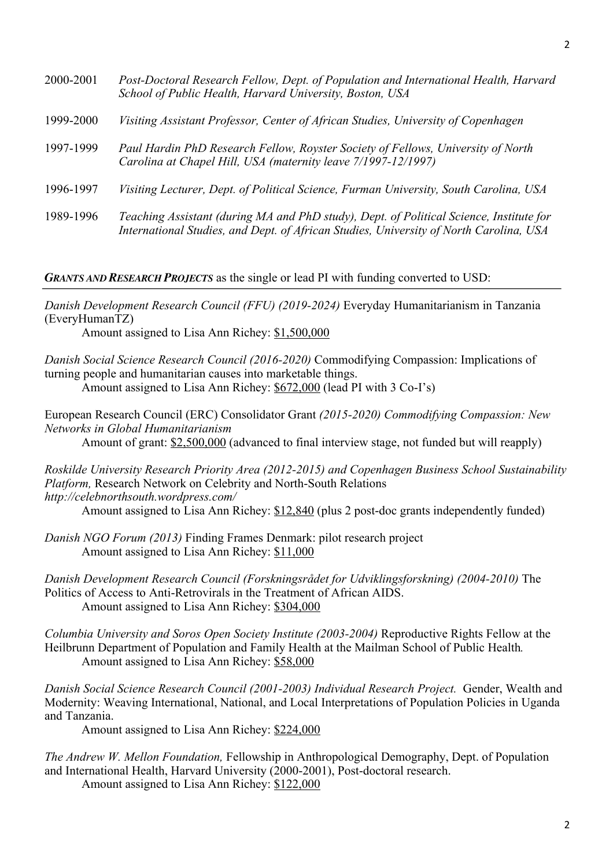| 2000-2001 | Post-Doctoral Research Fellow, Dept. of Population and International Health, Harvard<br>School of Public Health, Harvard University, Boston, USA                                  |
|-----------|-----------------------------------------------------------------------------------------------------------------------------------------------------------------------------------|
| 1999-2000 | Visiting Assistant Professor, Center of African Studies, University of Copenhagen                                                                                                 |
| 1997-1999 | Paul Hardin PhD Research Fellow, Royster Society of Fellows, University of North<br>Carolina at Chapel Hill, USA (maternity leave 7/1997-12/1997)                                 |
| 1996-1997 | Visiting Lecturer, Dept. of Political Science, Furman University, South Carolina, USA                                                                                             |
| 1989-1996 | Teaching Assistant (during MA and PhD study), Dept. of Political Science, Institute for<br>International Studies, and Dept. of African Studies, University of North Carolina, USA |

*GRANTS AND RESEARCH PROJECTS* as the single or lead PI with funding converted to USD:

*Danish Development Research Council (FFU) (2019-2024)* Everyday Humanitarianism in Tanzania (EveryHumanTZ)

Amount assigned to Lisa Ann Richey: \$1,500,000

*Danish Social Science Research Council (2016-2020)* Commodifying Compassion: Implications of turning people and humanitarian causes into marketable things. Amount assigned to Lisa Ann Richey: \$672,000 (lead PI with 3 Co-I's)

European Research Council (ERC) Consolidator Grant *(2015-2020) Commodifying Compassion: New Networks in Global Humanitarianism* 

Amount of grant:  $$2,500,000$  (advanced to final interview stage, not funded but will reapply)

*Roskilde University Research Priority Area (2012-2015) and Copenhagen Business School Sustainability Platform,* Research Network on Celebrity and North-South Relations *http://celebnorthsouth.wordpress.com/* Amount assigned to Lisa Ann Richey: \$12,840 (plus 2 post-doc grants independently funded)

*Danish NGO Forum (2013)* Finding Frames Denmark: pilot research project Amount assigned to Lisa Ann Richey: \$11,000

*Danish Development Research Council (Forskningsrådet for Udviklingsforskning) (2004-2010)* The Politics of Access to Anti-Retrovirals in the Treatment of African AIDS. Amount assigned to Lisa Ann Richey: \$304,000

*Columbia University and Soros Open Society Institute (2003-2004)* Reproductive Rights Fellow at the Heilbrunn Department of Population and Family Health at the Mailman School of Public Health*.* Amount assigned to Lisa Ann Richey: \$58,000

*Danish Social Science Research Council (2001-2003) Individual Research Project.* Gender, Wealth and Modernity: Weaving International, National, and Local Interpretations of Population Policies in Uganda and Tanzania.

Amount assigned to Lisa Ann Richey: \$224,000

*The Andrew W. Mellon Foundation,* Fellowship in Anthropological Demography, Dept. of Population and International Health, Harvard University (2000-2001), Post-doctoral research. Amount assigned to Lisa Ann Richey: \$122,000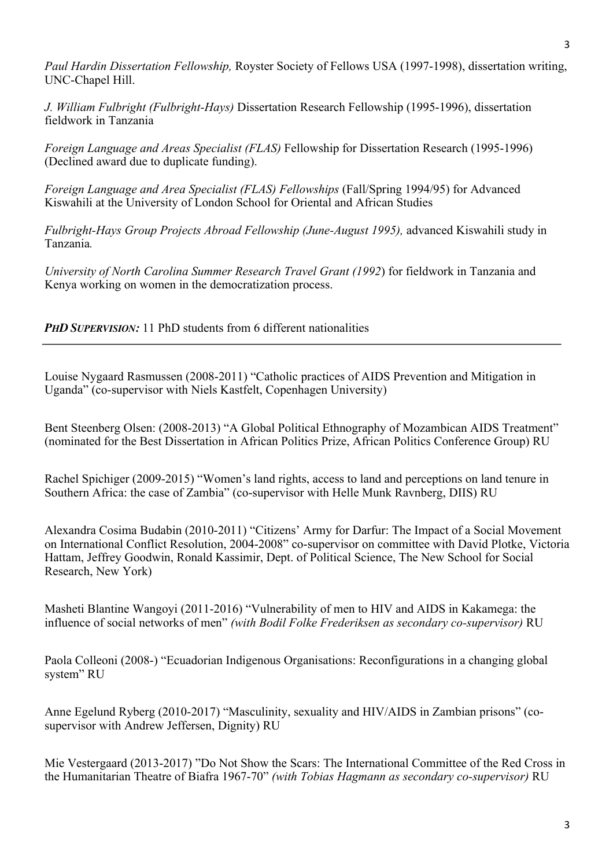*Paul Hardin Dissertation Fellowship,* Royster Society of Fellows USA (1997-1998), dissertation writing, UNC-Chapel Hill.

*J. William Fulbright (Fulbright-Hays)* Dissertation Research Fellowship (1995-1996), dissertation fieldwork in Tanzania

*Foreign Language and Areas Specialist (FLAS)* Fellowship for Dissertation Research (1995-1996) (Declined award due to duplicate funding).

*Foreign Language and Area Specialist (FLAS) Fellowships* (Fall/Spring 1994/95) for Advanced Kiswahili at the University of London School for Oriental and African Studies

Fulbright-Hays Group Projects Abroad Fellowship (June-August 1995), advanced Kiswahili study in Tanzania*.*

*University of North Carolina Summer Research Travel Grant (1992*) for fieldwork in Tanzania and Kenya working on women in the democratization process.

*PHD* SUPERVISION: 11 PhD students from 6 different nationalities

Louise Nygaard Rasmussen (2008-2011) "Catholic practices of AIDS Prevention and Mitigation in Uganda" (co-supervisor with Niels Kastfelt, Copenhagen University)

Bent Steenberg Olsen: (2008-2013) "A Global Political Ethnography of Mozambican AIDS Treatment" (nominated for the Best Dissertation in African Politics Prize, African Politics Conference Group) RU

Rachel Spichiger (2009-2015) "Women's land rights, access to land and perceptions on land tenure in Southern Africa: the case of Zambia" (co-supervisor with Helle Munk Ravnberg, DIIS) RU

Alexandra Cosima Budabin (2010-2011) "Citizens' Army for Darfur: The Impact of a Social Movement on International Conflict Resolution, 2004-2008" co-supervisor on committee with David Plotke, Victoria Hattam, Jeffrey Goodwin, Ronald Kassimir, Dept. of Political Science, The New School for Social Research, New York)

Masheti Blantine Wangoyi (2011-2016) "Vulnerability of men to HIV and AIDS in Kakamega: the influence of social networks of men" *(with Bodil Folke Frederiksen as secondary co-supervisor)* RU

Paola Colleoni (2008-) "Ecuadorian Indigenous Organisations: Reconfigurations in a changing global system" RU

Anne Egelund Ryberg (2010-2017) "Masculinity, sexuality and HIV/AIDS in Zambian prisons" (cosupervisor with Andrew Jeffersen, Dignity) RU

Mie Vestergaard (2013-2017) "Do Not Show the Scars: The International Committee of the Red Cross in the Humanitarian Theatre of Biafra 1967-70" *(with Tobias Hagmann as secondary co-supervisor)* RU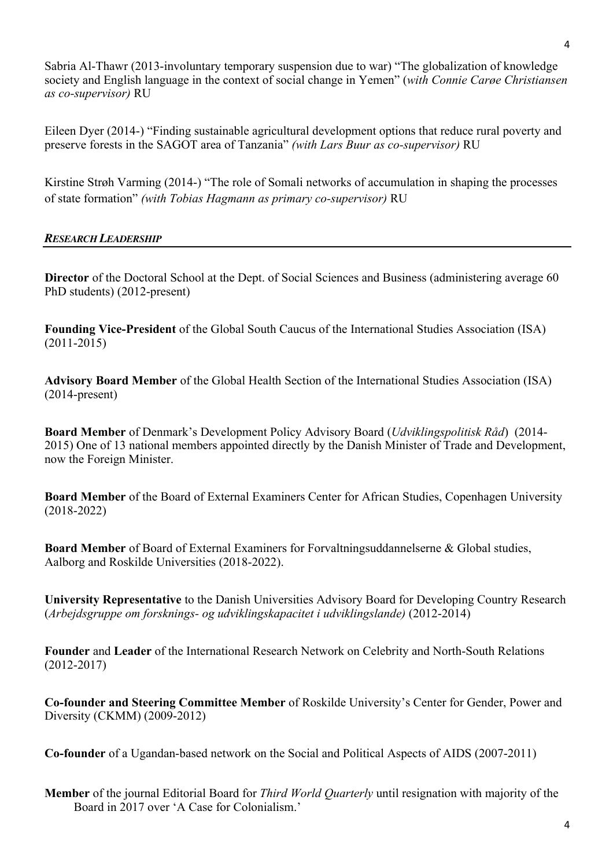Sabria Al-Thawr (2013-involuntary temporary suspension due to war) "The globalization of knowledge society and English language in the context of social change in Yemen" (*with Connie Carøe Christiansen as co-supervisor)* RU

Eileen Dyer (2014-) "Finding sustainable agricultural development options that reduce rural poverty and preserve forests in the SAGOT area of Tanzania" *(with Lars Buur as co-supervisor)* RU

Kirstine Strøh Varming (2014-) "The role of Somali networks of accumulation in shaping the processes of state formation" *(with Tobias Hagmann as primary co-supervisor)* RU

# *RESEARCH LEADERSHIP*

**Director** of the Doctoral School at the Dept. of Social Sciences and Business (administering average 60) PhD students) (2012-present)

**Founding Vice-President** of the Global South Caucus of the International Studies Association (ISA) (2011-2015)

**Advisory Board Member** of the Global Health Section of the International Studies Association (ISA) (2014-present)

**Board Member** of Denmark's Development Policy Advisory Board (*Udviklingspolitisk Råd*) (2014- 2015) One of 13 national members appointed directly by the Danish Minister of Trade and Development, now the Foreign Minister.

**Board Member** of the Board of External Examiners Center for African Studies, Copenhagen University (2018-2022)

**Board Member** of Board of External Examiners for Forvaltningsuddannelserne & Global studies, Aalborg and Roskilde Universities (2018-2022).

**University Representative** to the Danish Universities Advisory Board for Developing Country Research (*Arbejdsgruppe om forsknings- og udviklingskapacitet i udviklingslande)* (2012-2014)

**Founder** and **Leader** of the International Research Network on Celebrity and North-South Relations (2012-2017)

**Co-founder and Steering Committee Member** of Roskilde University's Center for Gender, Power and Diversity (CKMM) (2009-2012)

**Co-founder** of a Ugandan-based network on the Social and Political Aspects of AIDS (2007-2011)

**Member** of the journal Editorial Board for *Third World Quarterly* until resignation with majority of the Board in 2017 over 'A Case for Colonialism.'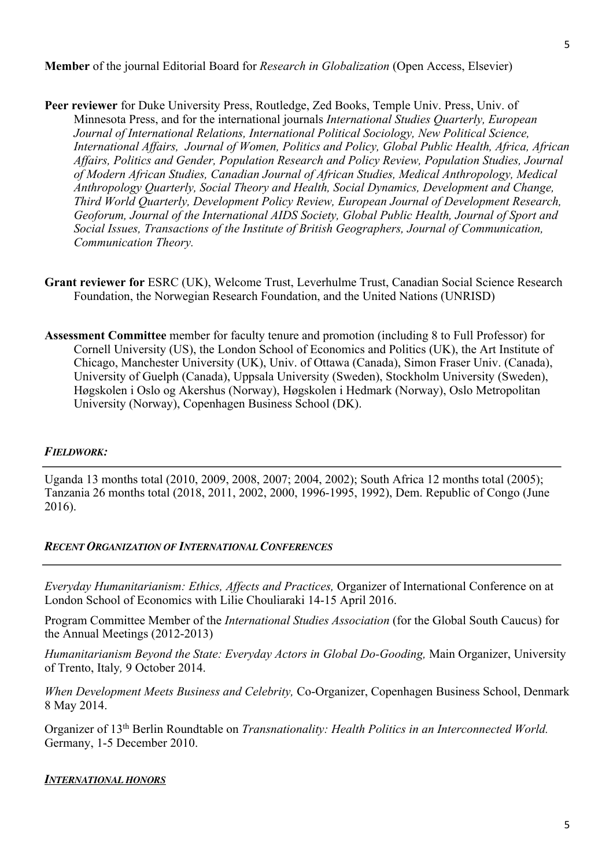**Peer reviewer** for Duke University Press, Routledge, Zed Books, Temple Univ. Press, Univ. of Minnesota Press, and for the international journals *International Studies Quarterly, European Journal of International Relations, International Political Sociology, New Political Science, International Affairs, Journal of Women, Politics and Policy, Global Public Health, Africa, African Affairs, Politics and Gender, Population Research and Policy Review, Population Studies, Journal of Modern African Studies, Canadian Journal of African Studies, Medical Anthropology, Medical Anthropology Quarterly, Social Theory and Health, Social Dynamics, Development and Change, Third World Quarterly, Development Policy Review, European Journal of Development Research, Geoforum, Journal of the International AIDS Society, Global Public Health, Journal of Sport and Social Issues, Transactions of the Institute of British Geographers, Journal of Communication, Communication Theory.*

- **Grant reviewer for** ESRC (UK), Welcome Trust, Leverhulme Trust, Canadian Social Science Research Foundation, the Norwegian Research Foundation, and the United Nations (UNRISD)
- **Assessment Committee** member for faculty tenure and promotion (including 8 to Full Professor) for Cornell University (US), the London School of Economics and Politics (UK), the Art Institute of Chicago, Manchester University (UK), Univ. of Ottawa (Canada), Simon Fraser Univ. (Canada), University of Guelph (Canada), Uppsala University (Sweden), Stockholm University (Sweden), Høgskolen i Oslo og Akershus (Norway), Høgskolen i Hedmark (Norway), Oslo Metropolitan University (Norway), Copenhagen Business School (DK).

# *FIELDWORK:*

Uganda 13 months total (2010, 2009, 2008, 2007; 2004, 2002); South Africa 12 months total (2005); Tanzania 26 months total (2018, 2011, 2002, 2000, 1996-1995, 1992), Dem. Republic of Congo (June 2016).

## *RECENT ORGANIZATION OF INTERNATIONAL CONFERENCES*

*Everyday Humanitarianism: Ethics, Affects and Practices,* Organizer of International Conference on at London School of Economics with Lilie Chouliaraki 14-15 April 2016.

Program Committee Member of the *International Studies Association* (for the Global South Caucus) for the Annual Meetings (2012-2013)

*Humanitarianism Beyond the State: Everyday Actors in Global Do-Gooding,* Main Organizer, University of Trento, Italy*,* 9 October 2014.

*When Development Meets Business and Celebrity,* Co-Organizer, Copenhagen Business School, Denmark 8 May 2014.

Organizer of 13th Berlin Roundtable on *Transnationality: Health Politics in an Interconnected World.* Germany, 1-5 December 2010.

## *INTERNATIONAL HONORS*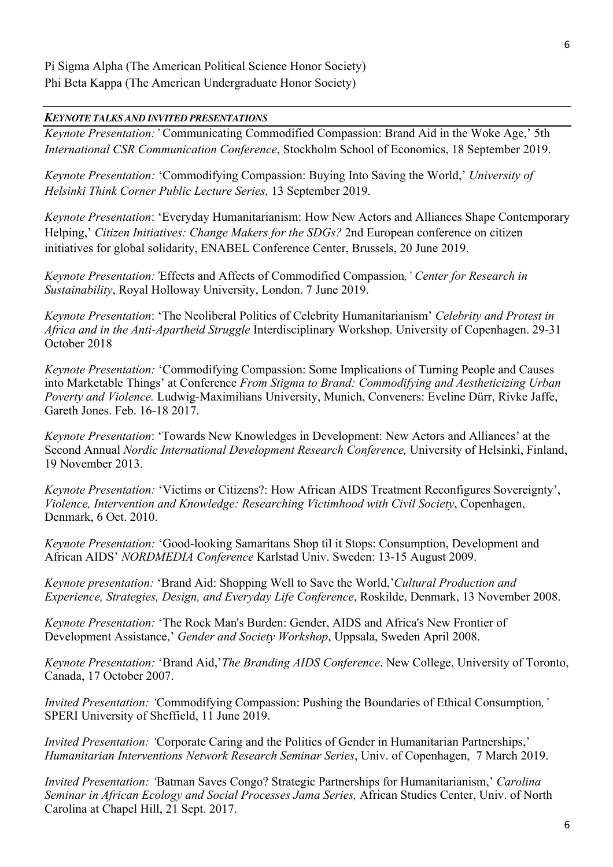### *KEYNOTE TALKS AND INVITED PRESENTATIONS*

*Keynote Presentation:'* Communicating Commodified Compassion: Brand Aid in the Woke Age,' 5th *International CSR Communication Conference*, Stockholm School of Economics, 18 September 2019.

*Keynote Presentation:* 'Commodifying Compassion: Buying Into Saving the World,' *University of Helsinki Think Corner Public Lecture Series,* 13 September 2019.

*Keynote Presentation*: 'Everyday Humanitarianism: How New Actors and Alliances Shape Contemporary Helping,' *Citizen Initiatives: Change Makers for the SDGs?* 2nd European conference on citizen initiatives for global solidarity, ENABEL Conference Center, Brussels, 20 June 2019.

*Keynote Presentation:'*Effects and Affects of Commodified Compassion*,' Center for Research in Sustainability*, Royal Holloway University, London. 7 June 2019.

*Keynote Presentation*: 'The Neoliberal Politics of Celebrity Humanitarianism' *Celebrity and Protest in Africa and in the Anti-Apartheid Struggle* Interdisciplinary Workshop. University of Copenhagen. 29-31 October 2018

*Keynote Presentation:* 'Commodifying Compassion: Some Implications of Turning People and Causes into Marketable Things' at Conference *From Stigma to Brand: Commodifying and Aestheticizing Urban Poverty and Violence.* Ludwig-Maximilians University, Munich, Conveners: Eveline Dürr, Rivke Jaffe, Gareth Jones. Feb. 16-18 2017.

*Keynote Presentation*: 'Towards New Knowledges in Development: New Actors and Alliances' at the Second Annual *Nordic International Development Research Conference,* University of Helsinki, Finland, 19 November 2013.

*Keynote Presentation:* 'Victims or Citizens?: How African AIDS Treatment Reconfigures Sovereignty', *Violence, Intervention and Knowledge: Researching Victimhood with Civil Society*, Copenhagen, Denmark, 6 Oct. 2010.

*Keynote Presentation:* 'Good-looking Samaritans Shop til it Stops: Consumption, Development and African AIDS' *NORDMEDIA Conference* Karlstad Univ. Sweden: 13-15 August 2009.

*Keynote presentation:* 'Brand Aid: Shopping Well to Save the World,'*Cultural Production and Experience, Strategies, Design, and Everyday Life Conference*, Roskilde, Denmark, 13 November 2008.

*Keynote Presentation:* 'The Rock Man's Burden: Gender, AIDS and Africa's New Frontier of Development Assistance,' *Gender and Society Workshop*, Uppsala, Sweden April 2008.

*Keynote Presentation:* 'Brand Aid,'*The Branding AIDS Conference*. New College, University of Toronto, Canada, 17 October 2007.

*Invited Presentation: '*Commodifying Compassion: Pushing the Boundaries of Ethical Consumption*,'* SPERI University of Sheffield, 11 June 2019.

*Invited Presentation: '*Corporate Caring and the Politics of Gender in Humanitarian Partnerships,' *Humanitarian Interventions Network Research Seminar Series*, Univ. of Copenhagen, 7 March 2019.

*Invited Presentation: '*Batman Saves Congo? Strategic Partnerships for Humanitarianism,' *Carolina Seminar in African Ecology and Social Processes Jama Series,* African Studies Center, Univ. of North Carolina at Chapel Hill, 21 Sept. 2017.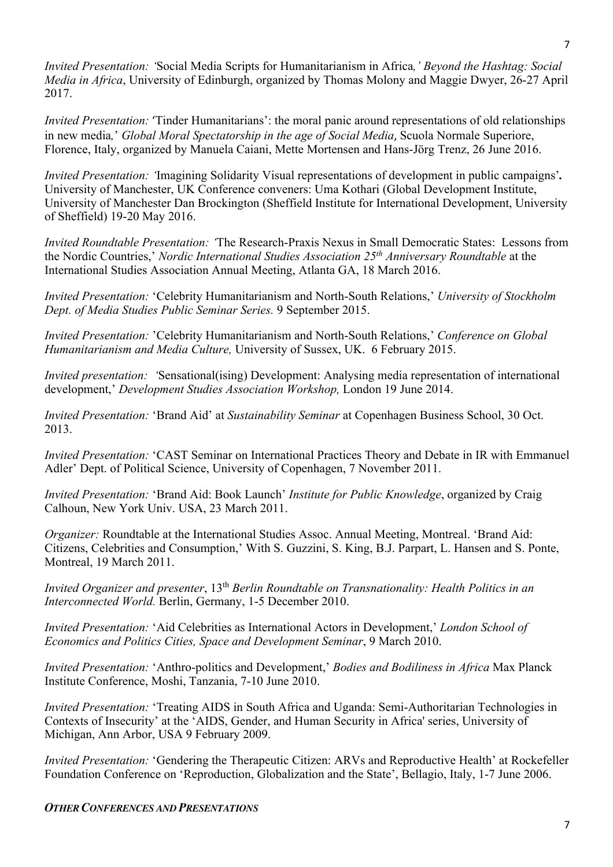*Invited Presentation: '*Social Media Scripts for Humanitarianism in Africa*,' Beyond the Hashtag: Social Media in Africa*, University of Edinburgh, organized by Thomas Molony and Maggie Dwyer, 26-27 April 2017.

*Invited Presentation:* 'Tinder Humanitarians': the moral panic around representations of old relationships in new media*,*' *Global Moral Spectatorship in the age of Social Media*, Scuola Normale Superiore, Florence, Italy, organized by Manuela Caiani, Mette Mortensen and Hans-Jörg Trenz, 26 June 2016.

*Invited Presentation: '*Imagining Solidarity Visual representations of development in public campaigns'*.*  University of Manchester, UK Conference conveners: Uma Kothari (Global Development Institute, University of Manchester Dan Brockington (Sheffield Institute for International Development, University of Sheffield) 19-20 May 2016.

*Invited Roundtable Presentation: '*The Research-Praxis Nexus in Small Democratic States: Lessons from the Nordic Countries,' *Nordic International Studies Association 25th Anniversary Roundtable* at the International Studies Association Annual Meeting, Atlanta GA, 18 March 2016.

*Invited Presentation:* 'Celebrity Humanitarianism and North-South Relations,' *University of Stockholm Dept. of Media Studies Public Seminar Series.* 9 September 2015.

*Invited Presentation:* 'Celebrity Humanitarianism and North-South Relations,' *Conference on Global Humanitarianism and Media Culture,* University of Sussex, UK.6 February 2015.

*Invited presentation: '*Sensational(ising) Development: Analysing media representation of international development,' *Development Studies Association Workshop,* London 19 June 2014.

*Invited Presentation:* 'Brand Aid' at *Sustainability Seminar* at Copenhagen Business School, 30 Oct. 2013.

*Invited Presentation:* 'CAST Seminar on International Practices Theory and Debate in IR with Emmanuel Adler' Dept. of Political Science, University of Copenhagen, 7 November 2011.

*Invited Presentation:* 'Brand Aid: Book Launch' *Institute for Public Knowledge*, organized by Craig Calhoun, New York Univ. USA, 23 March 2011.

*Organizer:* Roundtable at the International Studies Assoc. Annual Meeting, Montreal. 'Brand Aid: Citizens, Celebrities and Consumption,' With S. Guzzini, S. King, B.J. Parpart, L. Hansen and S. Ponte, Montreal, 19 March 2011.

*Invited Organizer and presenter*, 13<sup>th</sup> *Berlin Roundtable on Transnationality: Health Politics in an Interconnected World.* Berlin, Germany, 1-5 December 2010.

*Invited Presentation:* 'Aid Celebrities as International Actors in Development,' *London School of Economics and Politics Cities, Space and Development Seminar*, 9 March 2010.

*Invited Presentation:* 'Anthro-politics and Development,' *Bodies and Bodiliness in Africa* Max Planck Institute Conference, Moshi, Tanzania, 7-10 June 2010.

*Invited Presentation:* 'Treating AIDS in South Africa and Uganda: Semi-Authoritarian Technologies in Contexts of Insecurity' at the 'AIDS, Gender, and Human Security in Africa' series, University of Michigan, Ann Arbor, USA 9 February 2009.

*Invited Presentation:* 'Gendering the Therapeutic Citizen: ARVs and Reproductive Health' at Rockefeller Foundation Conference on 'Reproduction, Globalization and the State', Bellagio, Italy, 1-7 June 2006.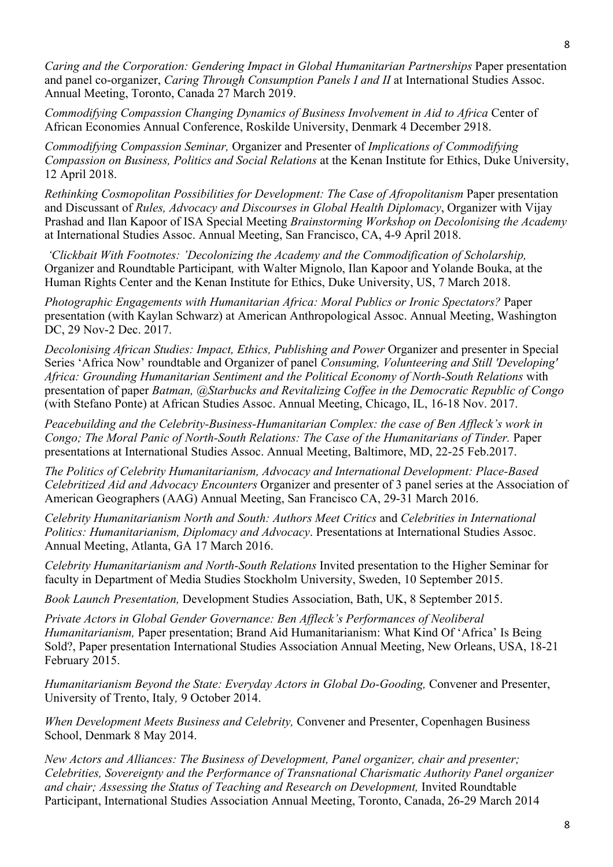*Caring and the Corporation: Gendering Impact in Global Humanitarian Partnerships* Paper presentation and panel co-organizer, *Caring Through Consumption Panels I and II* at International Studies Assoc. Annual Meeting, Toronto, Canada 27 March 2019.

*Commodifying Compassion Changing Dynamics of Business Involvement in Aid to Africa* Center of African Economies Annual Conference, Roskilde University, Denmark 4 December 2918.

*Commodifying Compassion Seminar,* Organizer and Presenter of *Implications of Commodifying Compassion on Business, Politics and Social Relations* at the Kenan Institute for Ethics, Duke University, 12 April 2018.

*Rethinking Cosmopolitan Possibilities for Development: The Case of Afropolitanism* Paper presentation and Discussant of *Rules, Advocacy and Discourses in Global Health Diplomacy*, Organizer with Vijay Prashad and Ilan Kapoor of ISA Special Meeting *Brainstorming Workshop on Decolonising the Academy* at International Studies Assoc. Annual Meeting, San Francisco, CA, 4-9 April 2018.

*'Clickbait With Footnotes: 'Decolonizing the Academy and the Commodification of Scholarship,*  Organizer and Roundtable Participant*,* with Walter Mignolo, Ilan Kapoor and Yolande Bouka, at the Human Rights Center and the Kenan Institute for Ethics, Duke University, US, 7 March 2018.

*Photographic Engagements with Humanitarian Africa: Moral Publics or Ironic Spectators?* Paper presentation (with Kaylan Schwarz) at American Anthropological Assoc. Annual Meeting, Washington DC, 29 Nov-2 Dec. 2017.

*Decolonising African Studies: Impact, Ethics, Publishing and Power Organizer and presenter in Special* Series 'Africa Now' roundtable and Organizer of panel *Consuming, Volunteering and Still 'Developing' Africa: Grounding Humanitarian Sentiment and the Political Economy of North-South Relations* with presentation of paper *Batman, @Starbucks and Revitalizing Coffee in the Democratic Republic of Congo*  (with Stefano Ponte) at African Studies Assoc. Annual Meeting, Chicago, IL, 16-18 Nov. 2017.

*Peacebuilding and the Celebrity-Business-Humanitarian Complex: the case of Ben Affleck's work in Congo; The Moral Panic of North-South Relations: The Case of the Humanitarians of Tinder. Paper* presentations at International Studies Assoc. Annual Meeting, Baltimore, MD, 22-25 Feb.2017.

*The Politics of Celebrity Humanitarianism, Advocacy and International Development: Place-Based Celebritized Aid and Advocacy Encounters* Organizer and presenter of 3 panel series at the Association of American Geographers (AAG) Annual Meeting, San Francisco CA, 29-31 March 2016.

*Celebrity Humanitarianism North and South: Authors Meet Critics* and *Celebrities in International Politics: Humanitarianism, Diplomacy and Advocacy*. Presentations at International Studies Assoc. Annual Meeting, Atlanta, GA 17 March 2016.

*Celebrity Humanitarianism and North-South Relations* Invited presentation to the Higher Seminar for faculty in Department of Media Studies Stockholm University, Sweden, 10 September 2015.

*Book Launch Presentation,* Development Studies Association, Bath, UK, 8 September 2015.

*Private Actors in Global Gender Governance: Ben Affleck's Performances of Neoliberal Humanitarianism,* Paper presentation; Brand Aid Humanitarianism: What Kind Of 'Africa' Is Being Sold?, Paper presentation International Studies Association Annual Meeting, New Orleans, USA, 18-21 February 2015.

*Humanitarianism Beyond the State: Everyday Actors in Global Do-Gooding,* Convener and Presenter, University of Trento, Italy*,* 9 October 2014.

*When Development Meets Business and Celebrity,* Convener and Presenter, Copenhagen Business School, Denmark 8 May 2014.

*New Actors and Alliances: The Business of Development, Panel organizer, chair and presenter; Celebrities, Sovereignty and the Performance of Transnational Charismatic Authority Panel organizer*  and chair; Assessing the Status of Teaching and Research on Development, Invited Roundtable Participant, International Studies Association Annual Meeting, Toronto, Canada, 26-29 March 2014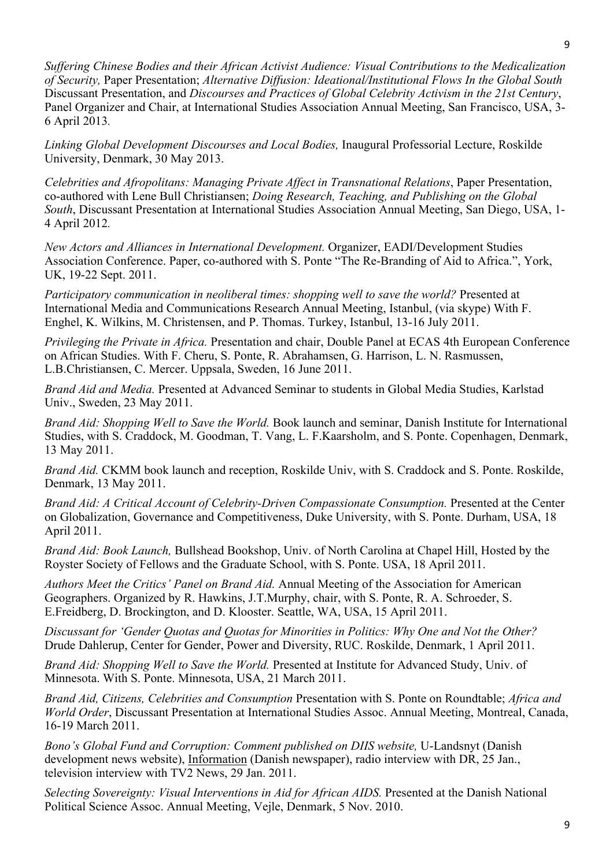*Suffering Chinese Bodies and their African Activist Audience: Visual Contributions to the Medicalization of Security,* Paper Presentation; *Alternative Diffusion: Ideational/Institutional Flows In the Global South* Discussant Presentation, and *Discourses and Practices of Global Celebrity Activism in the 21st Century*, Panel Organizer and Chair, at International Studies Association Annual Meeting, San Francisco, USA, 3- 6 April 2013*.*

*Linking Global Development Discourses and Local Bodies,* Inaugural Professorial Lecture, Roskilde University, Denmark, 30 May 2013.

*Celebrities and Afropolitans: Managing Private Affect in Transnational Relations*, Paper Presentation, co-authored with Lene Bull Christiansen; *Doing Research, Teaching, and Publishing on the Global South*, Discussant Presentation at International Studies Association Annual Meeting, San Diego, USA, 1- 4 April 2012*.*

*New Actors and Alliances in International Development.* Organizer, EADI/Development Studies Association Conference. Paper, co-authored with S. Ponte "The Re-Branding of Aid to Africa.", York, UK, 19-22 Sept. 2011.

*Participatory communication in neoliberal times: shopping well to save the world?* Presented at International Media and Communications Research Annual Meeting, Istanbul, (via skype) With F. Enghel, K. Wilkins, M. Christensen, and P. Thomas. Turkey, Istanbul, 13-16 July 2011.

*Privileging the Private in Africa.* Presentation and chair, Double Panel at ECAS 4th European Conference on African Studies. With F. Cheru, S. Ponte, R. Abrahamsen, G. Harrison, L. N. Rasmussen, L.B.Christiansen, C. Mercer. Uppsala, Sweden, 16 June 2011.

*Brand Aid and Media.* Presented at Advanced Seminar to students in Global Media Studies, Karlstad Univ., Sweden, 23 May 2011.

*Brand Aid: Shopping Well to Save the World.* Book launch and seminar, Danish Institute for International Studies, with S. Craddock, M. Goodman, T. Vang, L. F.Kaarsholm, and S. Ponte. Copenhagen, Denmark, 13 May 2011.

*Brand Aid.* CKMM book launch and reception, Roskilde Univ, with S. Craddock and S. Ponte. Roskilde, Denmark, 13 May 2011.

*Brand Aid: A Critical Account of Celebrity-Driven Compassionate Consumption. Presented at the Center* on Globalization, Governance and Competitiveness, Duke University, with S. Ponte. Durham, USA, 18 April 2011.

*Brand Aid: Book Launch,* Bullshead Bookshop, Univ. of North Carolina at Chapel Hill, Hosted by the Royster Society of Fellows and the Graduate School, with S. Ponte. USA, 18 April 2011.

*Authors Meet the Critics' Panel on Brand Aid.* Annual Meeting of the Association for American Geographers. Organized by R. Hawkins, J.T.Murphy, chair, with S. Ponte, R. A. Schroeder, S. E.Freidberg, D. Brockington, and D. Klooster. Seattle, WA, USA, 15 April 2011.

*Discussant for 'Gender Quotas and Quotas for Minorities in Politics: Why One and Not the Other?* Drude Dahlerup, Center for Gender, Power and Diversity, RUC. Roskilde, Denmark, 1 April 2011.

*Brand Aid: Shopping Well to Save the World.* Presented at Institute for Advanced Study, Univ. of Minnesota. With S. Ponte. Minnesota, USA, 21 March 2011.

*Brand Aid, Citizens, Celebrities and Consumption* Presentation with S. Ponte on Roundtable; *Africa and World Order*, Discussant Presentation at International Studies Assoc. Annual Meeting, Montreal, Canada, 16-19 March 2011.

*Bono's Global Fund and Corruption: Comment published on DIIS website,* U-Landsnyt (Danish development news website), Information (Danish newspaper), radio interview with DR, 25 Jan., television interview with TV2 News, 29 Jan. 2011.

*Selecting Sovereignty: Visual Interventions in Aid for African AIDS.* Presented at the Danish National Political Science Assoc. Annual Meeting, Vejle, Denmark, 5 Nov. 2010.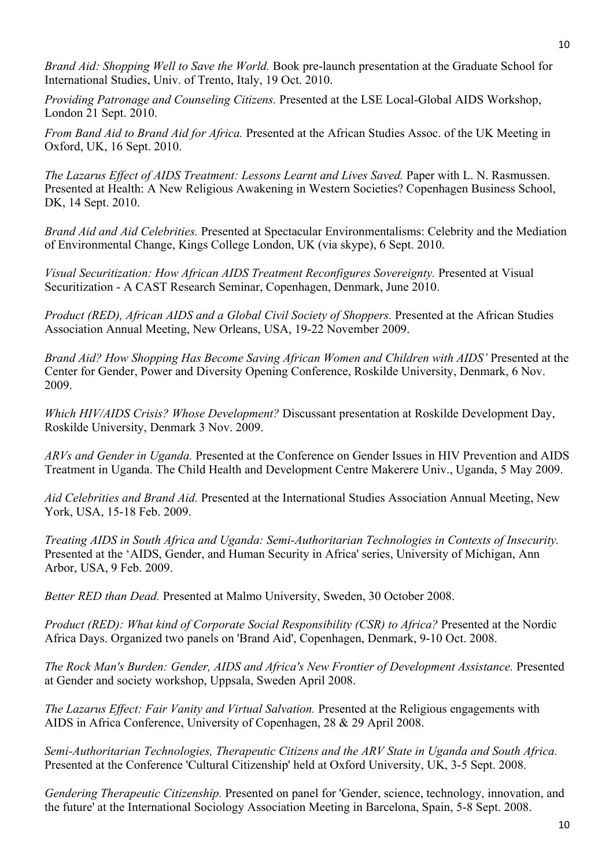*Brand Aid: Shopping Well to Save the World.* Book pre-launch presentation at the Graduate School for International Studies, Univ. of Trento, Italy, 19 Oct. 2010.

*Providing Patronage and Counseling Citizens.* Presented at the LSE Local-Global AIDS Workshop, London 21 Sept. 2010.

*From Band Aid to Brand Aid for Africa.* Presented at the African Studies Assoc. of the UK Meeting in Oxford, UK, 16 Sept. 2010.

*The Lazarus Effect of AIDS Treatment: Lessons Learnt and Lives Saved.* Paper with L. N. Rasmussen. Presented at Health: A New Religious Awakening in Western Societies? Copenhagen Business School, DK, 14 Sept. 2010.

*Brand Aid and Aid Celebrities.* Presented at Spectacular Environmentalisms: Celebrity and the Mediation of Environmental Change, Kings College London, UK (via skype), 6 Sept. 2010.

*Visual Securitization: How African AIDS Treatment Reconfigures Sovereignty.* Presented at Visual Securitization - A CAST Research Seminar, Copenhagen, Denmark, June 2010.

*Product (RED), African AIDS and a Global Civil Society of Shoppers.* Presented at the African Studies Association Annual Meeting, New Orleans, USA, 19-22 November 2009.

*Brand Aid? How Shopping Has Become Saving African Women and Children with AIDS'* Presented at the Center for Gender, Power and Diversity Opening Conference, Roskilde University, Denmark, 6 Nov. 2009.

*Which HIV/AIDS Crisis? Whose Development?* Discussant presentation at Roskilde Development Day, Roskilde University, Denmark 3 Nov. 2009.

*ARVs and Gender in Uganda.* Presented at the Conference on Gender Issues in HIV Prevention and AIDS Treatment in Uganda. The Child Health and Development Centre Makerere Univ., Uganda, 5 May 2009.

*Aid Celebrities and Brand Aid.* Presented at the International Studies Association Annual Meeting, New York, USA, 15-18 Feb. 2009.

*Treating AIDS in South Africa and Uganda: Semi-Authoritarian Technologies in Contexts of Insecurity.* Presented at the 'AIDS, Gender, and Human Security in Africa' series, University of Michigan, Ann Arbor, USA, 9 Feb. 2009.

*Better RED than Dead.* Presented at Malmo University, Sweden, 30 October 2008.

*Product (RED): What kind of Corporate Social Responsibility (CSR) to Africa?* Presented at the Nordic Africa Days. Organized two panels on 'Brand Aid', Copenhagen, Denmark, 9-10 Oct. 2008.

*The Rock Man's Burden: Gender, AIDS and Africa's New Frontier of Development Assistance.* Presented at Gender and society workshop, Uppsala, Sweden April 2008.

*The Lazarus Effect: Fair Vanity and Virtual Salvation.* Presented at the Religious engagements with AIDS in Africa Conference, University of Copenhagen, 28 & 29 April 2008.

*Semi-Authoritarian Technologies, Therapeutic Citizens and the ARV State in Uganda and South Africa.*  Presented at the Conference 'Cultural Citizenship' held at Oxford University, UK, 3-5 Sept. 2008.

*Gendering Therapeutic Citizenship.* Presented on panel for 'Gender, science, technology, innovation, and the future' at the International Sociology Association Meeting in Barcelona, Spain, 5-8 Sept. 2008.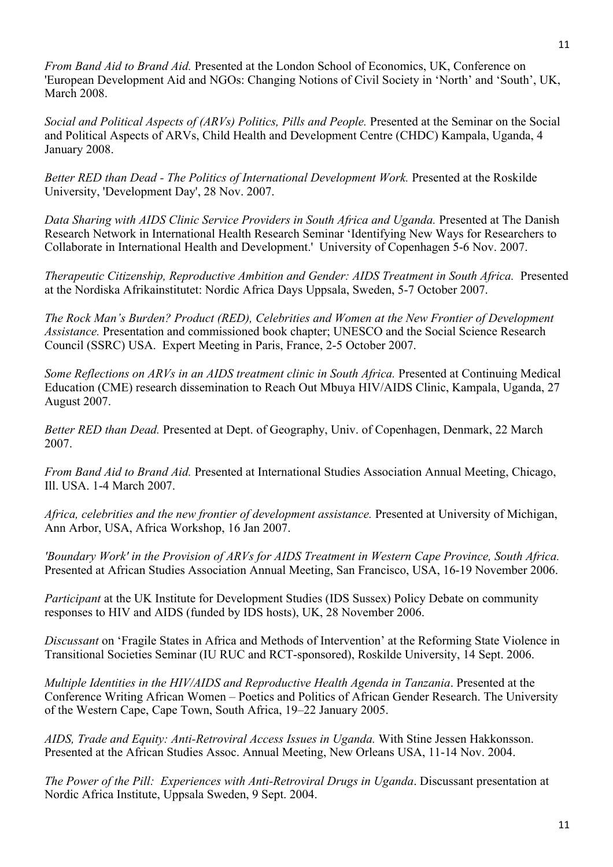*From Band Aid to Brand Aid.* Presented at the London School of Economics, UK, Conference on 'European Development Aid and NGOs: Changing Notions of Civil Society in 'North' and 'South', UK, March 2008.

*Social and Political Aspects of (ARVs) Politics, Pills and People. Presented at the Seminar on the Social* and Political Aspects of ARVs, Child Health and Development Centre (CHDC) Kampala, Uganda, 4 January 2008.

*Better RED than Dead - The Politics of International Development Work.* Presented at the Roskilde University, 'Development Day', 28 Nov. 2007.

*Data Sharing with AIDS Clinic Service Providers in South Africa and Uganda.* Presented at The Danish Research Network in International Health Research Seminar 'Identifying New Ways for Researchers to Collaborate in International Health and Development.' University of Copenhagen 5-6 Nov. 2007.

*Therapeutic Citizenship, Reproductive Ambition and Gender: AIDS Treatment in South Africa.* Presented at the Nordiska Afrikainstitutet: Nordic Africa Days Uppsala, Sweden, 5-7 October 2007.

*The Rock Man's Burden? Product (RED), Celebrities and Women at the New Frontier of Development Assistance.* Presentation and commissioned book chapter; UNESCO and the Social Science Research Council (SSRC) USA. Expert Meeting in Paris, France, 2-5 October 2007.

*Some Reflections on ARVs in an AIDS treatment clinic in South Africa.* Presented at Continuing Medical Education (CME) research dissemination to Reach Out Mbuya HIV/AIDS Clinic, Kampala, Uganda, 27 August 2007.

*Better RED than Dead.* Presented at Dept. of Geography, Univ. of Copenhagen, Denmark, 22 March 2007.

*From Band Aid to Brand Aid.* Presented at International Studies Association Annual Meeting, Chicago, Ill. USA. 1-4 March 2007.

*Africa, celebrities and the new frontier of development assistance.* Presented at University of Michigan, Ann Arbor, USA, Africa Workshop, 16 Jan 2007.

*'Boundary Work' in the Provision of ARVs for AIDS Treatment in Western Cape Province, South Africa.* Presented at African Studies Association Annual Meeting, San Francisco, USA, 16-19 November 2006.

*Participant* at the UK Institute for Development Studies (IDS Sussex) Policy Debate on community responses to HIV and AIDS (funded by IDS hosts), UK, 28 November 2006.

*Discussant* on 'Fragile States in Africa and Methods of Intervention' at the Reforming State Violence in Transitional Societies Seminar (IU RUC and RCT-sponsored), Roskilde University, 14 Sept. 2006.

*Multiple Identities in the HIV/AIDS and Reproductive Health Agenda in Tanzania*. Presented at the Conference Writing African Women – Poetics and Politics of African Gender Research. The University of the Western Cape, Cape Town, South Africa, 19–22 January 2005.

*AIDS, Trade and Equity: Anti-Retroviral Access Issues in Uganda.* With Stine Jessen Hakkonsson. Presented at the African Studies Assoc. Annual Meeting, New Orleans USA, 11-14 Nov. 2004.

*The Power of the Pill: Experiences with Anti-Retroviral Drugs in Uganda*. Discussant presentation at Nordic Africa Institute, Uppsala Sweden, 9 Sept. 2004.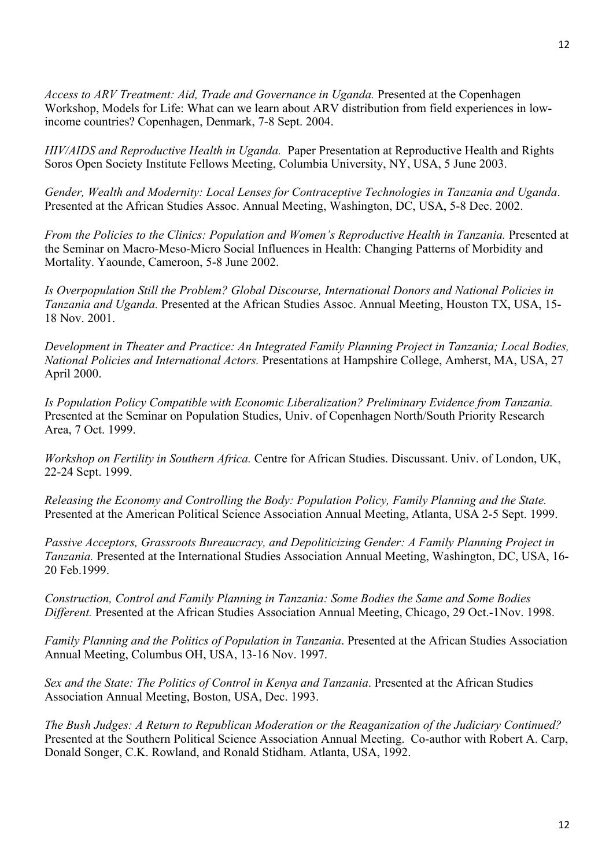*Access to ARV Treatment: Aid, Trade and Governance in Uganda.* Presented at the Copenhagen Workshop, Models for Life: What can we learn about ARV distribution from field experiences in lowincome countries? Copenhagen, Denmark, 7-8 Sept. 2004.

*HIV/AIDS and Reproductive Health in Uganda.* Paper Presentation at Reproductive Health and Rights Soros Open Society Institute Fellows Meeting, Columbia University, NY, USA, 5 June 2003.

*Gender, Wealth and Modernity: Local Lenses for Contraceptive Technologies in Tanzania and Uganda*. Presented at the African Studies Assoc. Annual Meeting, Washington, DC, USA, 5-8 Dec. 2002.

*From the Policies to the Clinics: Population and Women's Reproductive Health in Tanzania. Presented at* the Seminar on Macro-Meso-Micro Social Influences in Health: Changing Patterns of Morbidity and Mortality. Yaounde, Cameroon, 5-8 June 2002.

*Is Overpopulation Still the Problem? Global Discourse, International Donors and National Policies in Tanzania and Uganda.* Presented at the African Studies Assoc. Annual Meeting, Houston TX, USA, 15- 18 Nov. 2001.

*Development in Theater and Practice: An Integrated Family Planning Project in Tanzania; Local Bodies, National Policies and International Actors.* Presentations at Hampshire College, Amherst, MA, USA, 27 April 2000.

*Is Population Policy Compatible with Economic Liberalization? Preliminary Evidence from Tanzania.*  Presented at the Seminar on Population Studies, Univ. of Copenhagen North/South Priority Research Area, 7 Oct. 1999.

*Workshop on Fertility in Southern Africa.* Centre for African Studies. Discussant. Univ. of London, UK, 22-24 Sept. 1999.

*Releasing the Economy and Controlling the Body: Population Policy, Family Planning and the State.* Presented at the American Political Science Association Annual Meeting, Atlanta, USA 2-5 Sept. 1999.

*Passive Acceptors, Grassroots Bureaucracy, and Depoliticizing Gender: A Family Planning Project in Tanzania.* Presented at the International Studies Association Annual Meeting, Washington, DC, USA, 16- 20 Feb.1999.

*Construction, Control and Family Planning in Tanzania: Some Bodies the Same and Some Bodies Different.* Presented at the African Studies Association Annual Meeting, Chicago, 29 Oct.-1Nov. 1998.

*Family Planning and the Politics of Population in Tanzania*. Presented at the African Studies Association Annual Meeting, Columbus OH, USA, 13-16 Nov. 1997.

*Sex and the State: The Politics of Control in Kenya and Tanzania*. Presented at the African Studies Association Annual Meeting, Boston, USA, Dec. 1993.

*The Bush Judges: A Return to Republican Moderation or the Reaganization of the Judiciary Continued?* Presented at the Southern Political Science Association Annual Meeting. Co-author with Robert A. Carp, Donald Songer, C.K. Rowland, and Ronald Stidham. Atlanta, USA, 1992.